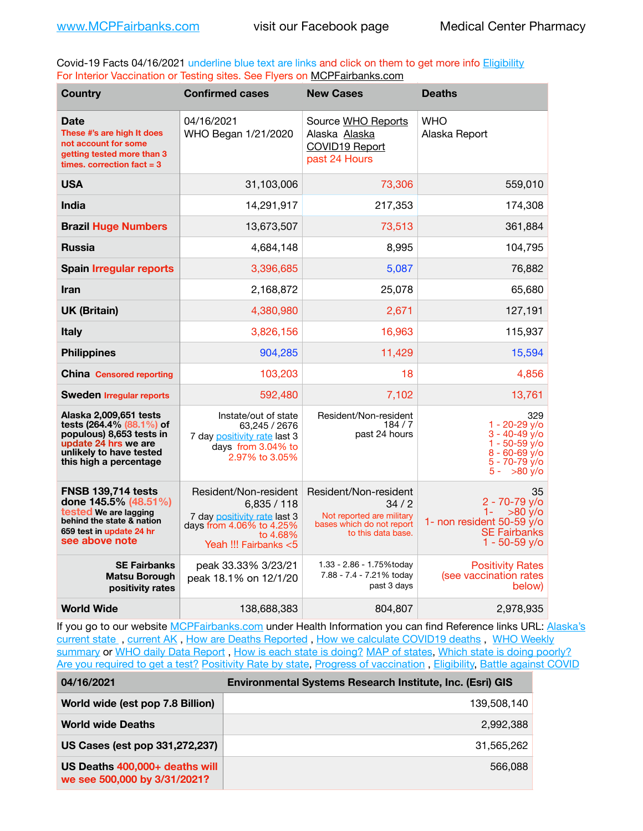Covid-19 Facts 04/16/2021 underline blue text are links and click on them to get more info **Eligibility** For Interior Vaccination or Testing sites. See Flyers on [MCPFairbanks.com](http://www.MCPFairbanks.com)

| <b>Country</b>                                                                                                                                              | <b>Confirmed cases</b>                                                                                                              | <b>New Cases</b>                                                                                              | <b>Deaths</b>                                                                                                           |
|-------------------------------------------------------------------------------------------------------------------------------------------------------------|-------------------------------------------------------------------------------------------------------------------------------------|---------------------------------------------------------------------------------------------------------------|-------------------------------------------------------------------------------------------------------------------------|
| Date<br>These #'s are high It does<br>not account for some<br>getting tested more than 3<br>times, correction fact $= 3$                                    | 04/16/2021<br>WHO Began 1/21/2020                                                                                                   | Source WHO Reports<br>Alaska Alaska<br>COVID19 Report<br>past 24 Hours                                        | WHO<br>Alaska Report                                                                                                    |
| <b>USA</b>                                                                                                                                                  | 31,103,006                                                                                                                          | 73,306                                                                                                        | 559,010                                                                                                                 |
| <b>India</b>                                                                                                                                                | 14,291,917                                                                                                                          | 217,353                                                                                                       | 174,308                                                                                                                 |
| <b>Brazil Huge Numbers</b>                                                                                                                                  | 13,673,507                                                                                                                          | 73,513                                                                                                        | 361,884                                                                                                                 |
| <b>Russia</b>                                                                                                                                               | 4,684,148                                                                                                                           | 8,995                                                                                                         | 104,795                                                                                                                 |
| <b>Spain Irregular reports</b>                                                                                                                              | 3,396,685                                                                                                                           | 5,087                                                                                                         | 76,882                                                                                                                  |
| <b>Iran</b>                                                                                                                                                 | 2,168,872                                                                                                                           | 25,078                                                                                                        | 65,680                                                                                                                  |
| <b>UK (Britain)</b>                                                                                                                                         | 4,380,980                                                                                                                           | 2,671                                                                                                         | 127,191                                                                                                                 |
| <b>Italy</b>                                                                                                                                                | 3,826,156                                                                                                                           | 16,963                                                                                                        | 115,937                                                                                                                 |
| <b>Philippines</b>                                                                                                                                          | 904,285                                                                                                                             | 11,429                                                                                                        | 15,594                                                                                                                  |
| <b>China</b> Censored reporting                                                                                                                             | 103,203                                                                                                                             | 18                                                                                                            | 4.856                                                                                                                   |
| <b>Sweden Irregular reports</b>                                                                                                                             | 592,480                                                                                                                             | 7,102                                                                                                         | 13,761                                                                                                                  |
| Alaska 2,009,651 tests<br>tests (264.4% (88.1%) of<br>populous) 8,653 tests in<br>update 24 hrs we are<br>unlikely to have tested<br>this high a percentage | Instate/out of state<br>63,245 / 2676<br>7 day positivity rate last 3<br>days from 3.04% to<br>2.97% to 3.05%                       | Resident/Non-resident<br>184/7<br>past 24 hours                                                               | 329<br>$1 - 20 - 29$ y/o<br>$3 - 40 - 49$ $v$ /o<br>1 - 50-59 y/o<br>$8 - 60 - 69$ y/o<br>5 - 70-79 y/o<br>$5 - 80$ y/o |
| <b>FNSB 139,714 tests</b><br>done 145.5% (48.51%)<br>tested We are lagging<br>behind the state & nation<br>659 test in update 24 hr<br>see above note       | Resident/Non-resident<br>6,835/118<br>7 day positivity rate last 3<br>days from 4.06% to 4.25%<br>to 4.68%<br>Yeah !!! Fairbanks <5 | Resident/Non-resident<br>34/2<br>Not reported are military<br>bases which do not report<br>to this data base. | 35<br>2 - 70-79 v/o<br>$1 -$<br>$>80$ y/o<br>1- non resident 50-59 $y$ /o<br><b>SE Fairbanks</b><br>$1 - 50 - 59$ y/o   |
| <b>SE Fairbanks</b><br><b>Matsu Borough</b><br>positivity rates                                                                                             | peak 33.33% 3/23/21<br>peak 18.1% on 12/1/20                                                                                        | 1.33 - 2.86 - 1.75%today<br>7.88 - 7.4 - 7.21% today<br>past 3 days                                           | <b>Positivity Rates</b><br>(see vaccination rates<br>below)                                                             |
| <b>World Wide</b>                                                                                                                                           | 138,688,383                                                                                                                         | 804,807                                                                                                       | 2,978,935                                                                                                               |

If you go to our website [MCPFairbanks.com](http://www.MCPFairbanks.com) under Health Information you can find Reference links URL: Alaska's current state, current AK, [How are Deaths Reported](http://dhss.alaska.gov/dph/Epi/id/Pages/COVID-19/deathcounts.aspx), [How we calculate COVID19 deaths](https://coronavirus-response-alaska-dhss.hub.arcgis.com/search?collection=Document&groupIds=41ccb3344ebc4bd682c74073eba21f42), WHO Weekly [summary](http://www.who.int) or [WHO daily Data Report](https://covid19.who.int/table), [How is each state is doing?](https://www.msn.com/en-us/news/us/state-by-state-coronavirus-news/ar-BB13E1PX?fbclid=IwAR0_OBJH7lSyTN3ug_MsOeFnNgB1orTa9OBgilKJ7dhnwlVvHEsptuKkj1c) [MAP of states,](https://www.nationalgeographic.com/science/graphics/graphic-tracking-coronavirus-infections-us?cmpid=org=ngp::mc=crm-email::src=ngp::cmp=editorial::add=SpecialEdition_20210305&rid=B9A6DF5992658E8E35CE023113CFEA4C) [Which state is doing poorly?](https://bestlifeonline.com/covid-outbreak-your-state/?utm_source=nsltr&utm_medium=email&utm_content=covid-outbreak-your-state&utm_campaign=launch) [Are you required to get a test?](http://dhss.alaska.gov/dph/Epi/id/SiteAssets/Pages/HumanCoV/Whattodoafteryourtest.pdf) [Positivity Rate by state](https://coronavirus.jhu.edu/testing/individual-states/alaska), Progress of vaccination, [Eligibility,](http://dhss.alaska.gov/dph/Epi/id/Pages/COVID-19/VaccineAvailability.aspx) [Battle against COVID](https://www.nationalgeographic.com/science/graphics/graphic-tracking-coronavirus-infections-us?cmpid=org=ngp::mc=crm-email::src=ngp::cmp=editorial::add=SpecialEdition_20210219&rid=B9A6DF5992658E8E35CE023113CFEA4C)

| 04/16/2021                                                     | Environmental Systems Research Institute, Inc. (Esri) GIS |
|----------------------------------------------------------------|-----------------------------------------------------------|
| World wide (est pop 7.8 Billion)                               | 139,508,140                                               |
| <b>World wide Deaths</b>                                       | 2,992,388                                                 |
| US Cases (est pop 331,272,237)                                 | 31.565.262                                                |
| US Deaths 400,000+ deaths will<br>we see 500,000 by 3/31/2021? | 566,088                                                   |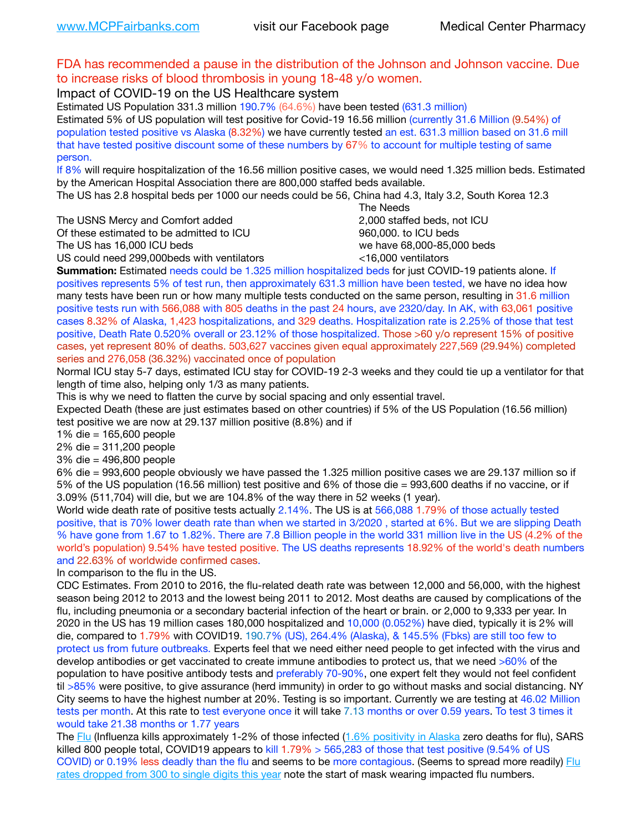## FDA has recommended a pause in the distribution of the Johnson and Johnson vaccine. Due to increase risks of blood thrombosis in young 18-48 y/o women.

Impact of COVID-19 on the US Healthcare system

Estimated US Population 331.3 million 190.7% (64.6%) have been tested (631.3 million) Estimated 5% of US population will test positive for Covid-19 16.56 million (currently 31.6 Million (9.54%) of population tested positive vs Alaska (8.32%) we have currently tested an est. 631.3 million based on 31.6 mill that have tested positive discount some of these numbers by 67% to account for multiple testing of same person.

If 8% will require hospitalization of the 16.56 million positive cases, we would need 1.325 million beds. Estimated by the American Hospital Association there are 800,000 staffed beds available.

The US has 2.8 hospital beds per 1000 our needs could be 56, China had 4.3, Italy 3.2, South Korea 12.3

The USNS Mercy and Comfort added 2,000 staffed beds, not ICU

Of these estimated to be admitted to ICU **860,000**, to ICU beds

 The Needs The US has 16,000 ICU beds we have 68,000-85,000 beds US could need 299,000 beds with ventilators  $\leq$ 16,000 ventilators

**Summation:** Estimated needs could be 1.325 million hospitalized beds for just COVID-19 patients alone. If positives represents 5% of test run, then approximately 631.3 million have been tested, we have no idea how many tests have been run or how many multiple tests conducted on the same person, resulting in 31.6 million positive tests run with 566,088 with 805 deaths in the past 24 hours, ave 2320/day. In AK, with 63,061 positive cases 8.32% of Alaska, 1,423 hospitalizations, and 329 deaths. Hospitalization rate is 2.25% of those that test positive, Death Rate 0.520% overall or 23.12% of those hospitalized. Those >60 y/o represent 15% of positive cases, yet represent 80% of deaths. 503,627 vaccines given equal approximately 227,569 (29.94%) completed

series and 276,058 (36.32%) vaccinated once of population

Normal ICU stay 5-7 days, estimated ICU stay for COVID-19 2-3 weeks and they could tie up a ventilator for that length of time also, helping only 1/3 as many patients.

This is why we need to flatten the curve by social spacing and only essential travel.

Expected Death (these are just estimates based on other countries) if 5% of the US Population (16.56 million) test positive we are now at 29.137 million positive (8.8%) and if

1% die = 165,600 people

2% die = 311,200 people

3% die = 496,800 people

6% die = 993,600 people obviously we have passed the 1.325 million positive cases we are 29.137 million so if 5% of the US population (16.56 million) test positive and 6% of those die = 993,600 deaths if no vaccine, or if 3.09% (511,704) will die, but we are 104.8% of the way there in 52 weeks (1 year).

World wide death rate of positive tests actually 2.14%. The US is at 566,088 1.79% of those actually tested positive, that is 70% lower death rate than when we started in 3/2020 , started at 6%. But we are slipping Death % have gone from 1.67 to 1.82%. There are 7.8 Billion people in the world 331 million live in the US (4.2% of the world's population) 9.54% have tested positive. The US deaths represents 18.92% of the world's death numbers and 22.63% of worldwide confirmed cases.

In comparison to the flu in the US.

CDC Estimates. From 2010 to 2016, the flu-related death rate was between 12,000 and 56,000, with the highest season being 2012 to 2013 and the lowest being 2011 to 2012. Most deaths are caused by complications of the flu, including pneumonia or a secondary bacterial infection of the heart or brain. or 2,000 to 9,333 per year. In 2020 in the US has 19 million cases 180,000 hospitalized and 10,000 (0.052%) have died, typically it is 2% will die, compared to 1.79% with COVID19. 190.7% (US), 264.4% (Alaska), & 145.5% (Fbks) are still too few to protect us from future outbreaks. Experts feel that we need either need people to get infected with the virus and develop antibodies or get vaccinated to create immune antibodies to protect us, that we need >60% of the population to have positive antibody tests and preferably 70-90%, one expert felt they would not feel confident til >85% were positive, to give assurance (herd immunity) in order to go without masks and social distancing. NY City seems to have the highest number at 20%. Testing is so important. Currently we are testing at 46.02 Million tests per month. At this rate to test everyone once it will take 7.13 months or over 0.59 years. To test 3 times it would take 21.38 months or 1.77 years

The [Flu](https://lnks.gd/l/eyJhbGciOiJIUzI1NiJ9.eyJidWxsZXRpbl9saW5rX2lkIjoxMDMsInVyaSI6ImJwMjpjbGljayIsImJ1bGxldGluX2lkIjoiMjAyMTAyMjYuMzYwNDA3NTEiLCJ1cmwiOiJodHRwczovL3d3dy5jZGMuZ292L2ZsdS93ZWVrbHkvb3ZlcnZpZXcuaHRtIn0.ePMA_hsZ-pTnhWSyg1gHvHWYTu2XceVOt0JejxvP1WE/s/500544915/br/98428119752-l) (Influenza kills approximately 1-2% of those infected ([1.6% positivity in Alaska](http://dhss.alaska.gov/dph/Epi/id/SiteAssets/Pages/influenza/trends/Snapshot.pdf) zero deaths for flu), SARS killed 800 people total, COVID19 appears to kill 1.79% > 565,283 of those that test positive (9.54% of US COVID) or 0.19% less deadly than the flu and seems to be more contagious. (Seems to spread more readily) Flu [rates dropped from 300 to single digits this year](https://lnks.gd/l/eyJhbGciOiJIUzI1NiJ9.eyJidWxsZXRpbl9saW5rX2lkIjoxMDEsInVyaSI6ImJwMjpjbGljayIsImJ1bGxldGluX2lkIjoiMjAyMTAyMjYuMzYwNDA3NTEiLCJ1cmwiOiJodHRwOi8vZGhzcy5hbGFza2EuZ292L2RwaC9FcGkvaWQvUGFnZXMvaW5mbHVlbnphL2ZsdWluZm8uYXNweCJ9.oOe3nt2fww6XpsNhb4FZfmtPfPa-irGaldpkURBJhSo/s/500544915/br/98428119752-l) note the start of mask wearing impacted flu numbers.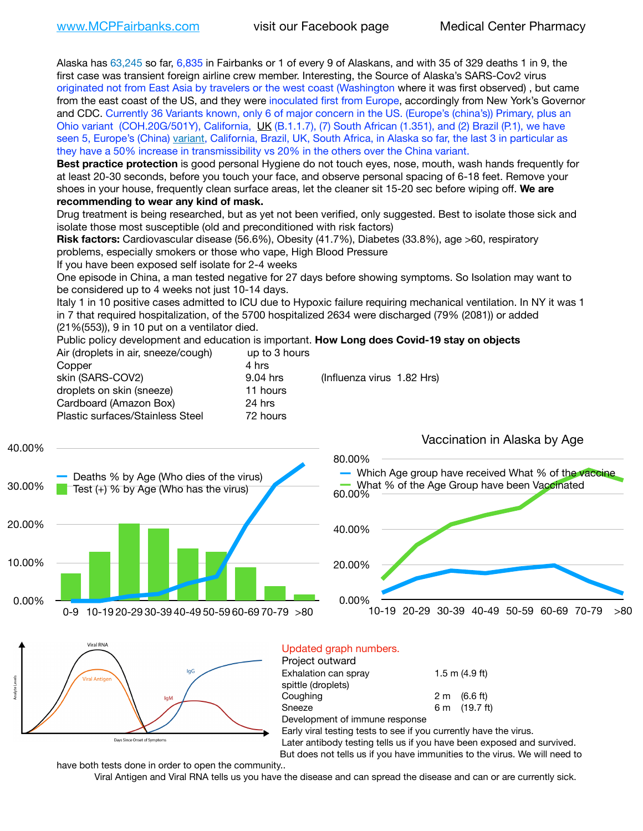Alaska has 63,245 so far, 6,835 in Fairbanks or 1 of every 9 of Alaskans, and with 35 of 329 deaths 1 in 9, the first case was transient foreign airline crew member. Interesting, the Source of Alaska's SARS-Cov2 virus originated not from East Asia by travelers or the west coast (Washington where it was first observed) , but came from the east coast of the US, and they were inoculated first from Europe, accordingly from New York's Governor and CDC. Currently 36 Variants known, only 6 of major concern in the US. (Europe's (china's)) Primary, plus an Ohio variant (COH.20G/501Y), California, [UK](https://www.cdc.gov/coronavirus/2019-ncov/transmission/variant-cases.html) (B.1.1.7), (7) South African (1.351), and (2) Brazil (P.1), we have seen 5, Europe's (China) [variant,](https://www.webmd.com/lung/news/20210318/cdc-who-create-threat-levels-for-covid-variants?ecd=wnl_cvd_031921&ctr=wnl-cvd-031921&mb=kYbf7DsHb7YGjh/1RUkcAW0T6iorImAU1TDZh18RYs0=_Support_titleLink_2) California, Brazil, UK, South Africa, in Alaska so far, the last 3 in particular as they have a 50% increase in transmissibility vs 20% in the others over the China variant.

**Best practice protection** is good personal Hygiene do not touch eyes, nose, mouth, wash hands frequently for at least 20-30 seconds, before you touch your face, and observe personal spacing of 6-18 feet. Remove your shoes in your house, frequently clean surface areas, let the cleaner sit 15-20 sec before wiping off. **We are recommending to wear any kind of mask.**

Drug treatment is being researched, but as yet not been verified, only suggested. Best to isolate those sick and isolate those most susceptible (old and preconditioned with risk factors)

**Risk factors:** Cardiovascular disease (56.6%), Obesity (41.7%), Diabetes (33.8%), age >60, respiratory problems, especially smokers or those who vape, High Blood Pressure

If you have been exposed self isolate for 2-4 weeks

One episode in China, a man tested negative for 27 days before showing symptoms. So Isolation may want to be considered up to 4 weeks not just 10-14 days.

Italy 1 in 10 positive cases admitted to ICU due to Hypoxic failure requiring mechanical ventilation. In NY it was 1 in 7 that required hospitalization, of the 5700 hospitalized 2634 were discharged (79% (2081)) or added (21%(553)), 9 in 10 put on a ventilator died.

Public policy development and education is important. **How Long does Covid-19 stay on objects**  $A$ ir (droplets in air, speeze (cough)

| Air (dropiets in air, sneeze/cough) | UD TO 3 NOURS |                            |
|-------------------------------------|---------------|----------------------------|
| Copper                              | 4 hrs         |                            |
| skin (SARS-COV2)                    | 9.04 hrs      | (Influenza virus 1.82 Hrs) |
| droplets on skin (sneeze)           | 11 hours      |                            |
| Cardboard (Amazon Box)              | 24 hrs        |                            |
| Plastic surfaces/Stainless Steel    | 72 hours      |                            |
|                                     |               |                            |





#### Updated graph numbers. Project outward

| <b>I</b> IVICUL VULWAIU        |                        |
|--------------------------------|------------------------|
| Exhalation can spray           | $1.5$ m (4.9 ft)       |
| spittle (droplets)             |                        |
| Coughing                       | $2 \text{ m}$ (6.6 ft) |
| Sneeze                         | 6 m (19.7 ft)          |
| Development of immune response |                        |

Early viral testing tests to see if you currently have the virus.

Later antibody testing tells us if you have been exposed and survived. But does not tells us if you have immunities to the virus. We will need to

have both tests done in order to open the community..

Viral Antigen and Viral RNA tells us you have the disease and can spread the disease and can or are currently sick.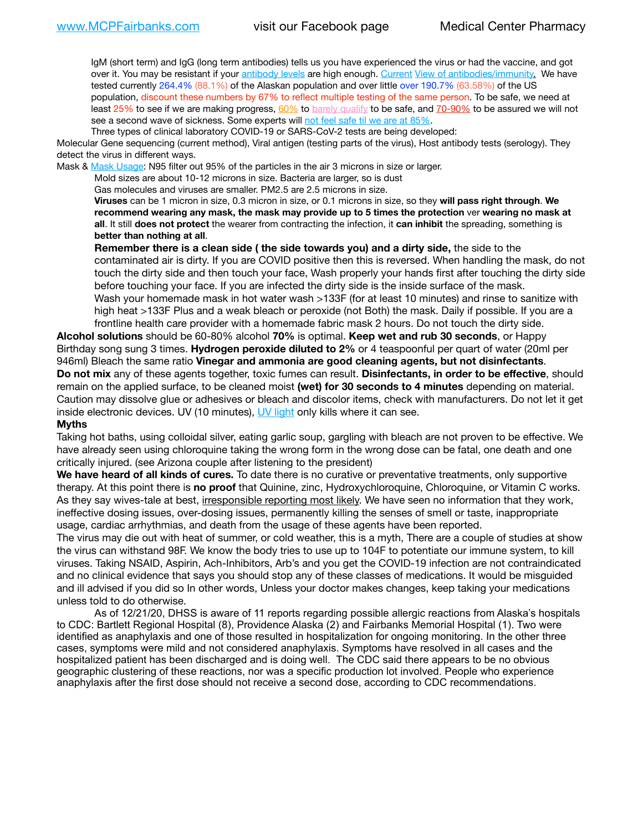IgM (short term) and IgG (long term antibodies) tells us you have experienced the virus or had the vaccine, and got over it. You may be resistant if your [antibody levels](https://www.cdc.gov/coronavirus/2019-ncov/lab/resources/antibody-tests.html) are high enough. [Current](https://l.facebook.com/l.php?u=https://www.itv.com/news/2020-10-26/covid-19-antibody-levels-reduce-over-time-study-finds?fbclid=IwAR3Dapzh1qIH1EIOdUQI2y8THf7jfA4KBCaJz8Qg-8xe1YsrR4nsAHDIXSY&h=AT30nut8pkqp0heVuz5W2rT2WFFm-2Ab52BsJxZZCNlGsX58IpPkuVEPULbIUV_M16MAukx1Kwb657DPXxsgDN1rpOQ4gqBtQsmVYiWpnHPJo2RQsU6CPMd14lgLnQnFWxfVi6zvmw&__tn__=-UK-R&c%5B0%5D=AT1GaRAfR_nGAyqcn7TI1-PpvqOqEKXHnz6TDWvRStMnOSH7boQDvTiwTOc6VId9UES6LKiOmm2m88wKCoolkJyOFvakt2Z1Mw8toYWGGoWW23r0MNVBl7cYJXB_UOvGklNHaNnaNr1_S7NhT3BSykNOBg) [View of antibodies/immunity](https://www.livescience.com/antibodies.html)[.](https://www.itv.com/news/2020-10-26/covid-19-antibody-levels-reduce-over-time-study-finds) We have tested currently 264.4% (88.1%) of the Alaskan population and over little over 190.7% (63.58%) of the US population, discount these numbers by 67% to reflect multiple testing of the same person. To be safe, we need at least 25% to see if we are making progress, [60%](https://www.jhsph.edu/covid-19/articles/achieving-herd-immunity-with-covid19.html) to [barely qualify](https://www.nature.com/articles/d41586-020-02948-4) to be safe, and [70-90%](https://www.mayoclinic.org/herd-immunity-and-coronavirus/art-20486808) to be assured we will not see a second wave of sickness. Some experts will [not feel safe til we are at 85%.](https://www.bannerhealth.com/healthcareblog/teach-me/what-is-herd-immunity)

Three types of clinical laboratory COVID-19 or SARS-CoV-2 tests are being developed:

Molecular Gene sequencing (current method), Viral antigen (testing parts of the virus), Host antibody tests (serology). They detect the virus in different ways.

Mask & [Mask Usage:](https://www.nationalgeographic.com/history/2020/03/how-cities-flattened-curve-1918-spanish-flu-pandemic-coronavirus/) N95 filter out 95% of the particles in the air 3 microns in size or larger.

Mold sizes are about 10-12 microns in size. Bacteria are larger, so is dust

Gas molecules and viruses are smaller. PM2.5 are 2.5 microns in size.

**Viruses** can be 1 micron in size, 0.3 micron in size, or 0.1 microns in size, so they **will pass right through**. **We recommend wearing any mask, the mask may provide up to 5 times the protection** ver **wearing no mask at all**. It still **does not protect** the wearer from contracting the infection, it **can inhibit** the spreading, something is **better than nothing at all**.

**Remember there is a clean side ( the side towards you) and a dirty side,** the side to the contaminated air is dirty. If you are COVID positive then this is reversed. When handling the mask, do not touch the dirty side and then touch your face, Wash properly your hands first after touching the dirty side before touching your face. If you are infected the dirty side is the inside surface of the mask. Wash your homemade mask in hot water wash >133F (for at least 10 minutes) and rinse to sanitize with high heat >133F Plus and a weak bleach or peroxide (not Both) the mask. Daily if possible. If you are a frontline health care provider with a homemade fabric mask 2 hours. Do not touch the dirty side.

**Alcohol solutions** should be 60-80% alcohol **70%** is optimal. **Keep wet and rub 30 seconds**, or Happy Birthday song sung 3 times. **Hydrogen peroxide diluted to 2%** or 4 teaspoonful per quart of water (20ml per 946ml) Bleach the same ratio **Vinegar and ammonia are good cleaning agents, but not disinfectants**. **Do not mix** any of these agents together, toxic fumes can result. **Disinfectants, in order to be effective**, should remain on the applied surface, to be cleaned moist **(wet) for 30 seconds to 4 minutes** depending on material. Caution may dissolve glue or adhesives or bleach and discolor items, check with manufacturers. Do not let it get inside electronic devices. UV (10 minutes), [UV light](http://www.docreviews.me/best-uv-boxes-2020/?fbclid=IwAR3bvFtXB48OoBBSvYvTEnKuHNPbipxM6jUo82QUSw9wckxjC7wwRZWabGw) only kills where it can see.

#### **Myths**

Taking hot baths, using colloidal silver, eating garlic soup, gargling with bleach are not proven to be effective. We have already seen using chloroquine taking the wrong form in the wrong dose can be fatal, one death and one critically injured. (see Arizona couple after listening to the president)

**We have heard of all kinds of cures.** To date there is no curative or preventative treatments, only supportive therapy. At this point there is **no proof** that Quinine, zinc, Hydroxychloroquine, Chloroquine, or Vitamin C works. As they say wives-tale at best, irresponsible reporting most likely. We have seen no information that they work, ineffective dosing issues, over-dosing issues, permanently killing the senses of smell or taste, inappropriate usage, cardiac arrhythmias, and death from the usage of these agents have been reported.

The virus may die out with heat of summer, or cold weather, this is a myth, There are a couple of studies at show the virus can withstand 98F. We know the body tries to use up to 104F to potentiate our immune system, to kill viruses. Taking NSAID, Aspirin, Ach-Inhibitors, Arb's and you get the COVID-19 infection are not contraindicated and no clinical evidence that says you should stop any of these classes of medications. It would be misguided and ill advised if you did so In other words, Unless your doctor makes changes, keep taking your medications unless told to do otherwise.

As of 12/21/20, DHSS is aware of 11 reports regarding possible allergic reactions from Alaska's hospitals to CDC: Bartlett Regional Hospital (8), Providence Alaska (2) and Fairbanks Memorial Hospital (1). Two were identified as anaphylaxis and one of those resulted in hospitalization for ongoing monitoring. In the other three cases, symptoms were mild and not considered anaphylaxis. Symptoms have resolved in all cases and the hospitalized patient has been discharged and is doing well. The CDC said there appears to be no obvious geographic clustering of these reactions, nor was a specific production lot involved. People who experience anaphylaxis after the first dose should not receive a second dose, according to CDC recommendations.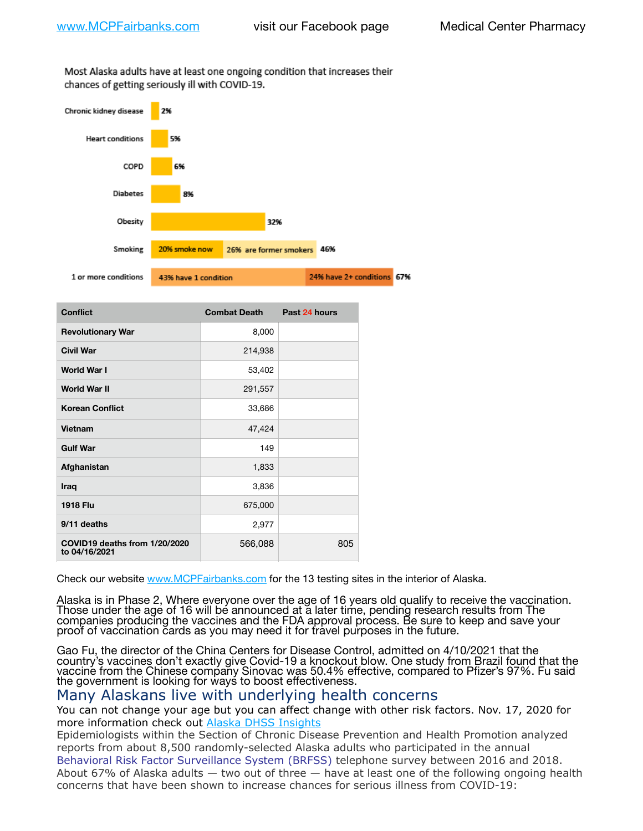Most Alaska adults have at least one ongoing condition that increases their chances of getting seriously ill with COVID-19.



| <b>Conflict</b>                                | <b>Combat Death</b> | Past 24 hours |
|------------------------------------------------|---------------------|---------------|
| <b>Revolutionary War</b>                       | 8,000               |               |
| <b>Civil War</b>                               | 214,938             |               |
| World War I                                    | 53,402              |               |
| <b>World War II</b>                            | 291,557             |               |
| <b>Korean Conflict</b>                         | 33,686              |               |
| Vietnam                                        | 47,424              |               |
| <b>Gulf War</b>                                | 149                 |               |
| Afghanistan                                    | 1,833               |               |
| Iraq                                           | 3,836               |               |
| <b>1918 Flu</b>                                | 675,000             |               |
| 9/11 deaths                                    | 2,977               |               |
| COVID19 deaths from 1/20/2020<br>to 04/16/2021 | 566,088             | 805           |

Check our website [www.MCPFairbanks.com](http://www.MCPFairbanks.com) for the 13 testing sites in the interior of Alaska.

Alaska is in Phase 2, Where everyone over the age of 16 years old qualify to receive the vaccination. Those under the age of 16 will be announced at a later time, pending research results from The companies producing the vaccines and the FDA approval process. Be sure to keep and save your proof of vaccination cards as you may need it for travel purposes in the future.

Gao Fu, the director of the China Centers for Disease Control, admitted on 4/10/2021 that the country's vaccines don't exactly give Covid-19 a knockout blow. One study from Brazil found that the vaccine from the Chinese company Sinovac was 50.4% effective, compared to Pfizer's 97%. Fu said the government is looking for ways to boost effectiveness.

# Many Alaskans live with underlying health concerns

You can not change your age but you can affect change with other risk factors. Nov. 17, 2020 for more information check out [Alaska DHSS Insights](http://dhss.alaska.gov/dph/Epi/id/Pages/COVID-19/blog/20201117.aspx)

Epidemiologists within the Section of Chronic Disease Prevention and Health Promotion analyzed reports from about 8,500 randomly-selected Alaska adults who participated in the annual [Behavioral Risk Factor Surveillance System \(BRFSS\)](http://dhss.alaska.gov/dph/Chronic/Pages/brfss/default.aspx) telephone survey between 2016 and 2018. About 67% of Alaska adults — two out of three — have at least one of the following ongoing health concerns that have been shown to increase chances for serious illness from COVID-19: